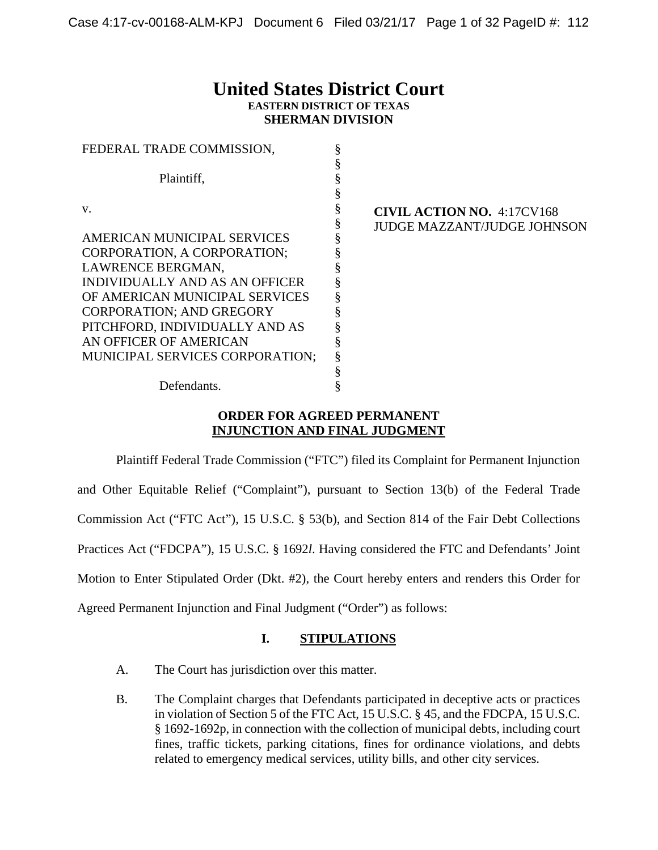## **United States District Court EASTERN DISTRICT OF TEXAS SHERMAN DIVISION**

| FEDERAL TRADE COMMISSION,       |                                    |
|---------------------------------|------------------------------------|
|                                 |                                    |
| Plaintiff,                      |                                    |
|                                 |                                    |
| V.                              | <b>CIVIL ACTION NO. 4:17CV168</b>  |
|                                 | <b>JUDGE MAZZANT/JUDGE JOHNSON</b> |
| AMERICAN MUNICIPAL SERVICES     |                                    |
| CORPORATION, A CORPORATION;     |                                    |
| LAWRENCE BERGMAN,               |                                    |
| INDIVIDUALLY AND AS AN OFFICER  |                                    |
| OF AMERICAN MUNICIPAL SERVICES  |                                    |
| <b>CORPORATION; AND GREGORY</b> |                                    |
| PITCHFORD, INDIVIDUALLY AND AS  |                                    |
| AN OFFICER OF AMERICAN          |                                    |
| MUNICIPAL SERVICES CORPORATION; |                                    |
|                                 |                                    |
| Defendants.                     |                                    |

### **ORDER FOR AGREED PERMANENT INJUNCTION AND FINAL JUDGMENT**

 Commission Act ("FTC Act"), 15 U.S.C. § 53(b), and Section 814 of the Fair Debt Collections Agreed Permanent Injunction and Final Judgment ("Order") as follows: Plaintiff Federal Trade Commission ("FTC") filed its Complaint for Permanent Injunction and Other Equitable Relief ("Complaint"), pursuant to Section 13(b) of the Federal Trade Practices Act ("FDCPA"), 15 U.S.C. § 1692*l*. Having considered the FTC and Defendants' Joint Motion to Enter Stipulated Order (Dkt. #2), the Court hereby enters and renders this Order for

### **I. STIPULATIONS**

- A. The Court has jurisdiction over this matter.
- B. The Complaint charges that Defendants participated in deceptive acts or practices in violation of Section 5 of the FTC Act, 15 U.S.C. § 45, and the FDCPA, 15 U.S.C. § 1692-1692p, in connection with the collection of municipal debts, including court fines, traffic tickets, parking citations, fines for ordinance violations, and debts related to emergency medical services, utility bills, and other city services.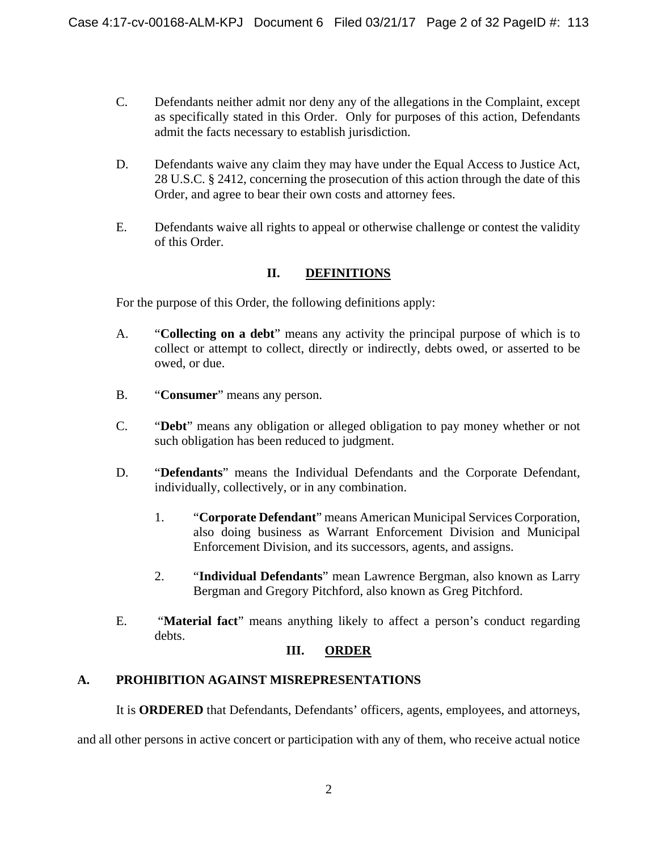- C. Defendants neither admit nor deny any of the allegations in the Complaint, except as specifically stated in this Order. Only for purposes of this action, Defendants admit the facts necessary to establish jurisdiction.
- D. Defendants waive any claim they may have under the Equal Access to Justice Act, Order, and agree to bear their own costs and attorney fees. 28 U.S.C. § 2412, concerning the prosecution of this action through the date of this
- E. Defendants waive all rights to appeal or otherwise challenge or contest the validity of this Order.

### **II. DEFINITIONS**

For the purpose of this Order, the following definitions apply:

- A. "**Collecting on a debt**" means any activity the principal purpose of which is to collect or attempt to collect, directly or indirectly, debts owed, or asserted to be owed, or due.
- B. **"Consumer"** means any person.
- C. "**Debt**" means any obligation or alleged obligation to pay money whether or not such obligation has been reduced to judgment.
- D. "**Defendants**" means the Individual Defendants and the Corporate Defendant, individually, collectively, or in any combination.
	- 1. "**Corporate Defendant**" means American Municipal Services Corporation, also doing business as Warrant Enforcement Division and Municipal Enforcement Division, and its successors, agents, and assigns.
	- 2. "**Individual Defendants**" mean Lawrence Bergman, also known as Larry Bergman and Gregory Pitchford, also known as Greg Pitchford.
- E. "**Material fact**" means anything likely to affect a person's conduct regarding debts.

### **III. ORDER**

### **A. PROHIBITION AGAINST MISREPRESENTATIONS**

It is **ORDERED** that Defendants, Defendants' officers, agents, employees, and attorneys,

and all other persons in active concert or participation with any of them, who receive actual notice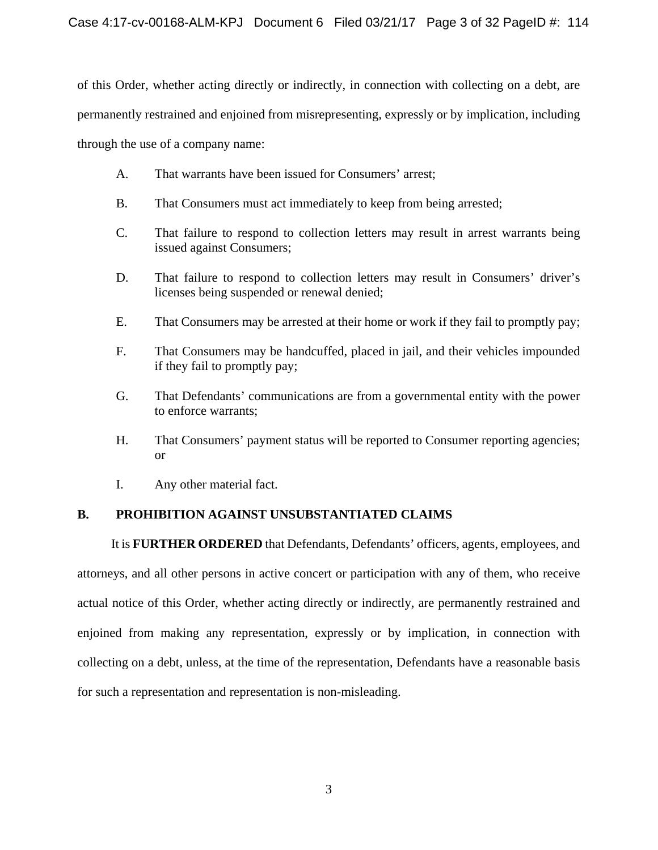permanently restrained and enjoined from misrepresenting, expressly or by implication, including of this Order, whether acting directly or indirectly, in connection with collecting on a debt, are through the use of a company name:

- A. That warrants have been issued for Consumers' arrest:
- B. That Consumers must act immediately to keep from being arrested;
- C. That failure to respond to collection letters may result in arrest warrants being issued against Consumers;
- D. That failure to respond to collection letters may result in Consumers' driver's licenses being suspended or renewal denied;
- E. That Consumers may be arrested at their home or work if they fail to promptly pay;
- F. That Consumers may be handcuffed, placed in jail, and their vehicles impounded if they fail to promptly pay;
- G. That Defendants' communications are from a governmental entity with the power to enforce warrants;
- H. That Consumers' payment status will be reported to Consumer reporting agencies; or
- I. Any other material fact.

### **B. PROHIBITION AGAINST UNSUBSTANTIATED CLAIMS**

 It is **FURTHER ORDERED** that Defendants, Defendants' officers, agents, employees, and attorneys, and all other persons in active concert or participation with any of them, who receive actual notice of this Order, whether acting directly or indirectly, are permanently restrained and enjoined from making any representation, expressly or by implication, in connection with collecting on a debt, unless, at the time of the representation, Defendants have a reasonable basis for such a representation and representation is non-misleading.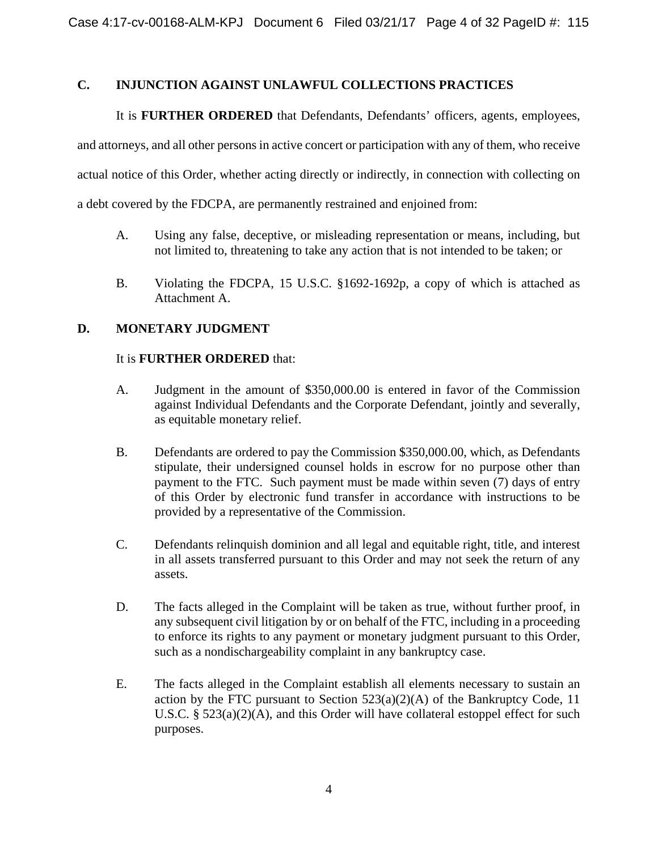### **C. INJUNCTION AGAINST UNLAWFUL COLLECTIONS PRACTICES**

It is **FURTHER ORDERED** that Defendants, Defendants' officers, agents, employees,

and attorneys, and all other persons in active concert or participation with any of them, who receive

actual notice of this Order, whether acting directly or indirectly, in connection with collecting on

a debt covered by the FDCPA, are permanently restrained and enjoined from:

- not limited to, threatening to take any action that is not intended to be taken; or A. Using any false, deceptive, or misleading representation or means, including, but
- B. Violating the FDCPA, 15 U.S.C. §1692-1692p, a copy of which is attached as Attachment A.

### **D. MONETARY JUDGMENT**

### It is **FURTHER ORDERED** that:

- against Individual Defendants and the Corporate Defendant, jointly and severally, A. Judgment in the amount of \$350,000.00 is entered in favor of the Commission as equitable monetary relief.
- of this Order by electronic fund transfer in accordance with instructions to be B. Defendants are ordered to pay the Commission \$350,000.00, which, as Defendants stipulate, their undersigned counsel holds in escrow for no purpose other than payment to the FTC. Such payment must be made within seven (7) days of entry provided by a representative of the Commission.
- C. Defendants relinquish dominion and all legal and equitable right, title, and interest in all assets transferred pursuant to this Order and may not seek the return of any assets.
- D. The facts alleged in the Complaint will be taken as true, without further proof, in any subsequent civil litigation by or on behalf of the FTC, including in a proceeding to enforce its rights to any payment or monetary judgment pursuant to this Order, such as a nondischargeability complaint in any bankruptcy case.
- E. The facts alleged in the Complaint establish all elements necessary to sustain an action by the FTC pursuant to Section  $523(a)(2)(A)$  of the Bankruptcy Code, 11 U.S.C. § 523(a)(2)(A), and this Order will have collateral estoppel effect for such purposes.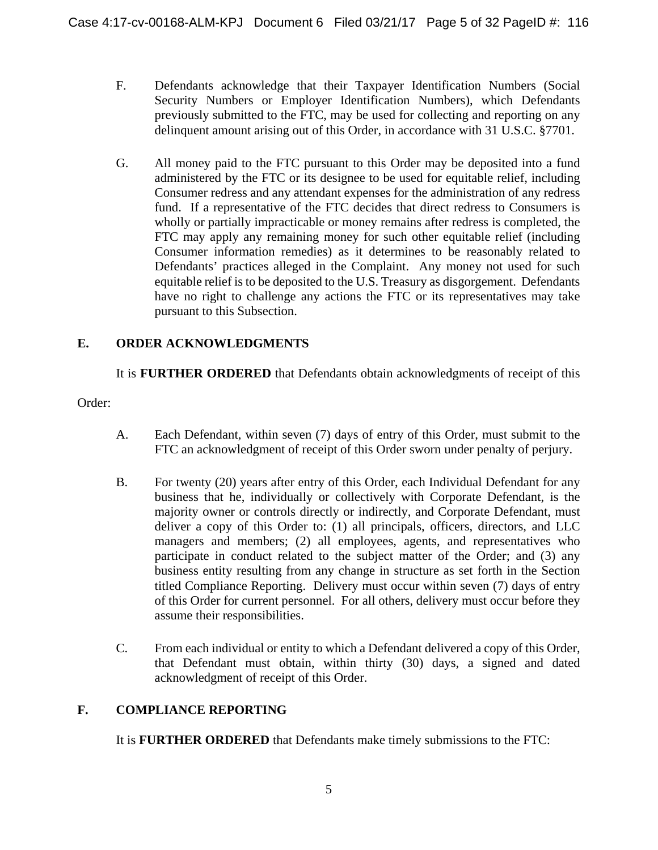- F. Defendants acknowledge that their Taxpayer Identification Numbers (Social Security Numbers or Employer Identification Numbers), which Defendants previously submitted to the FTC, may be used for collecting and reporting on any delinquent amount arising out of this Order, in accordance with 31 U.S.C. §7701.
- fund. If a representative of the FTC decides that direct redress to Consumers is wholly or partially impracticable or money remains after redress is completed, the FTC may apply any remaining money for such other equitable relief (including Consumer information remedies) as it determines to be reasonably related to G. All money paid to the FTC pursuant to this Order may be deposited into a fund administered by the FTC or its designee to be used for equitable relief, including Consumer redress and any attendant expenses for the administration of any redress Defendants' practices alleged in the Complaint. Any money not used for such equitable relief is to be deposited to the U.S. Treasury as disgorgement. Defendants have no right to challenge any actions the FTC or its representatives may take pursuant to this Subsection.

## **E. ORDER ACKNOWLEDGMENTS**

It is **FURTHER ORDERED** that Defendants obtain acknowledgments of receipt of this

### Order:

- A. Each Defendant, within seven (7) days of entry of this Order, must submit to the FTC an acknowledgment of receipt of this Order sworn under penalty of perjury.
- B. For twenty (20) years after entry of this Order, each Individual Defendant for any business that he, individually or collectively with Corporate Defendant, is the majority owner or controls directly or indirectly, and Corporate Defendant, must deliver a copy of this Order to: (1) all principals, officers, directors, and LLC managers and members; (2) all employees, agents, and representatives who participate in conduct related to the subject matter of the Order; and (3) any business entity resulting from any change in structure as set forth in the Section titled Compliance Reporting. Delivery must occur within seven (7) days of entry of this Order for current personnel. For all others, delivery must occur before they assume their responsibilities.
- C. From each individual or entity to which a Defendant delivered a copy of this Order, that Defendant must obtain, within thirty (30) days, a signed and dated acknowledgment of receipt of this Order.

### **F. COMPLIANCE REPORTING**

It is **FURTHER ORDERED** that Defendants make timely submissions to the FTC: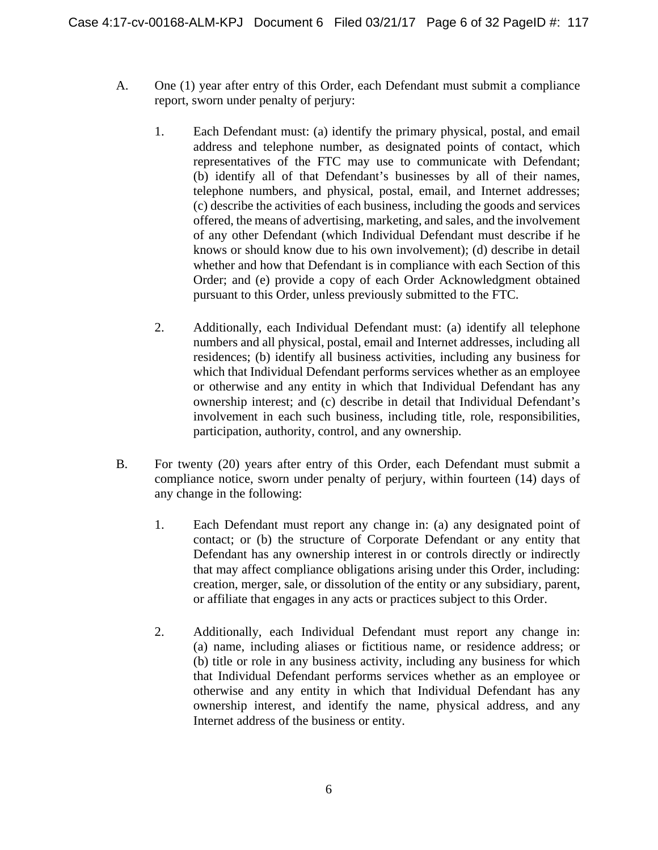- A. One (1) year after entry of this Order, each Defendant must submit a compliance report, sworn under penalty of perjury:
	- address and telephone number, as designated points of contact, which Order; and (e) provide a copy of each Order Acknowledgment obtained 1. Each Defendant must: (a) identify the primary physical, postal, and email representatives of the FTC may use to communicate with Defendant; (b) identify all of that Defendant's businesses by all of their names, telephone numbers, and physical, postal, email, and Internet addresses; (c) describe the activities of each business, including the goods and services offered, the means of advertising, marketing, and sales, and the involvement of any other Defendant (which Individual Defendant must describe if he knows or should know due to his own involvement); (d) describe in detail whether and how that Defendant is in compliance with each Section of this pursuant to this Order, unless previously submitted to the FTC.
	- which that Individual Defendant performs services whether as an employee 2. Additionally, each Individual Defendant must: (a) identify all telephone numbers and all physical, postal, email and Internet addresses, including all residences; (b) identify all business activities, including any business for or otherwise and any entity in which that Individual Defendant has any ownership interest; and (c) describe in detail that Individual Defendant's involvement in each such business, including title, role, responsibilities, participation, authority, control, and any ownership.
- any change in the following: B. For twenty (20) years after entry of this Order, each Defendant must submit a compliance notice, sworn under penalty of perjury, within fourteen (14) days of
	- 1. Each Defendant must report any change in: (a) any designated point of contact; or (b) the structure of Corporate Defendant or any entity that Defendant has any ownership interest in or controls directly or indirectly that may affect compliance obligations arising under this Order, including: creation, merger, sale, or dissolution of the entity or any subsidiary, parent, or affiliate that engages in any acts or practices subject to this Order.
	- (b) title or role in any business activity, including any business for which otherwise and any entity in which that Individual Defendant has any 2. Additionally, each Individual Defendant must report any change in: (a) name, including aliases or fictitious name, or residence address; or that Individual Defendant performs services whether as an employee or ownership interest, and identify the name, physical address, and any Internet address of the business or entity.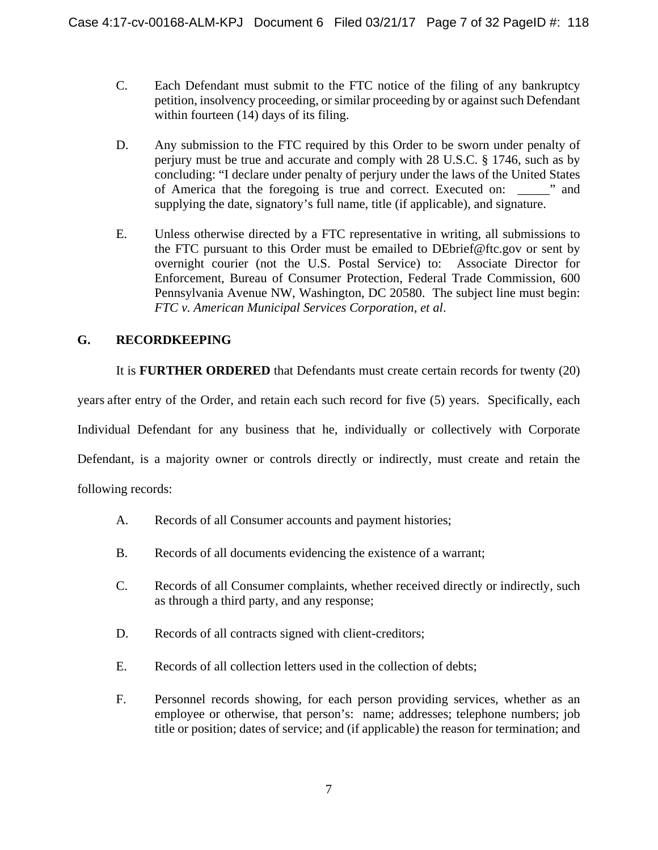- C. Each Defendant must submit to the FTC notice of the filing of any bankruptcy petition, insolvency proceeding, or similar proceeding by or against such Defendant within fourteen (14) days of its filing.
- D. Any submission to the FTC required by this Order to be sworn under penalty of perjury must be true and accurate and comply with 28 U.S.C. § 1746, such as by concluding: "I declare under penalty of perjury under the laws of the United States of America that the foregoing is true and correct. Executed on: \_\_\_\_\_" and supplying the date, signatory's full name, title (if applicable), and signature.
- the FTC pursuant to this Order must be emailed to DEbrief@ftc.gov or sent by E. Unless otherwise directed by a FTC representative in writing, all submissions to overnight courier (not the U.S. Postal Service) to: Associate Director for Enforcement, Bureau of Consumer Protection, Federal Trade Commission, 600 Pennsylvania Avenue NW, Washington, DC 20580. The subject line must begin: *FTC v. American Municipal Services Corporation, et al*.

### **G. RECORDKEEPING**

It is **FURTHER ORDERED** that Defendants must create certain records for twenty (20)

 years after entry of the Order, and retain each such record for five (5) years. Specifically, each Individual Defendant for any business that he, individually or collectively with Corporate Defendant, is a majority owner or controls directly or indirectly, must create and retain the following records:

- A. Records of all Consumer accounts and payment histories;
- B. Records of all documents evidencing the existence of a warrant;
- C. Records of all Consumer complaints, whether received directly or indirectly, such as through a third party, and any response;
- D. Records of all contracts signed with client-creditors;
- E. Records of all collection letters used in the collection of debts;
- title or position; dates of service; and (if applicable) the reason for termination; and F. Personnel records showing, for each person providing services, whether as an employee or otherwise, that person's: name; addresses; telephone numbers; job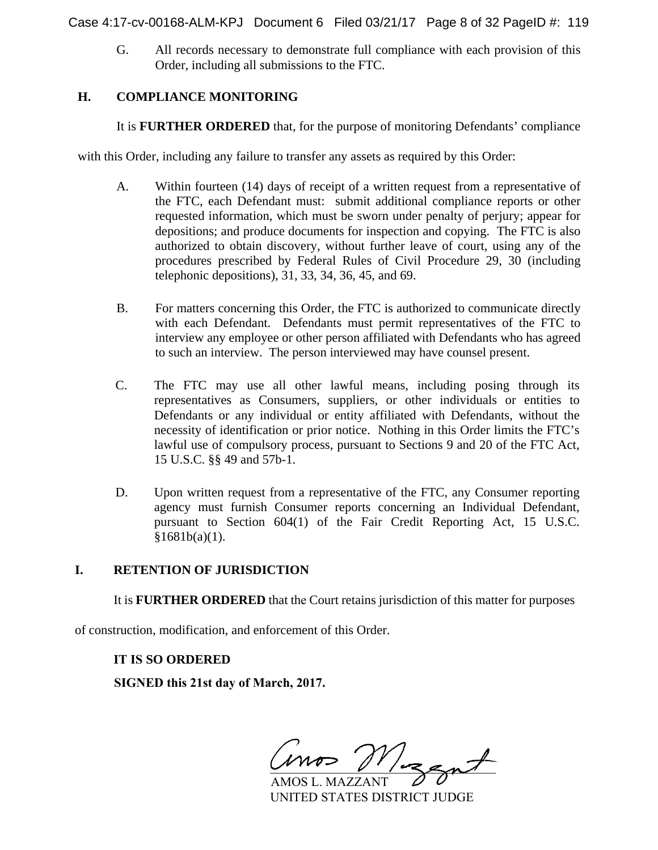Order, including all submissions to the FTC. G. All records necessary to demonstrate full compliance with each provision of this

### **H. COMPLIANCE MONITORING**

It is **FURTHER ORDERED** that, for the purpose of monitoring Defendants' compliance

with this Order, including any failure to transfer any assets as required by this Order:

- A. Within fourteen (14) days of receipt of a written request from a representative of the FTC, each Defendant must: submit additional compliance reports or other requested information, which must be sworn under penalty of perjury; appear for depositions; and produce documents for inspection and copying. The FTC is also authorized to obtain discovery, without further leave of court, using any of the procedures prescribed by Federal Rules of Civil Procedure 29, 30 (including telephonic depositions), 31, 33, 34, 36, 45, and 69.
- B. For matters concerning this Order, the FTC is authorized to communicate directly with each Defendant. Defendants must permit representatives of the FTC to interview any employee or other person affiliated with Defendants who has agreed to such an interview. The person interviewed may have counsel present.
- lawful use of compulsory process, pursuant to Sections 9 and 20 of the FTC Act, C. The FTC may use all other lawful means, including posing through its representatives as Consumers, suppliers, or other individuals or entities to Defendants or any individual or entity affiliated with Defendants, without the necessity of identification or prior notice. Nothing in this Order limits the FTC's 15 U.S.C. §§ 49 and 57b-1.
- D. Upon written request from a representative of the FTC, any Consumer reporting agency must furnish Consumer reports concerning an Individual Defendant, pursuant to Section 604(1) of the Fair Credit Reporting Act, 15 U.S.C.  $§1681b(a)(1).$

### **I. RETENTION OF JURISDICTION**

It is **FURTHER ORDERED** that the Court retains jurisdiction of this matter for purposes

of construction, modification, and enforcement of this Order.

### **IT IS SO ORDERED**

 **SIGNED this 21st day of March, 2017.**

 $\mathcal{W}$ 

 AMOS L. MAZZANT UNITED STATES DISTRICT JUDGE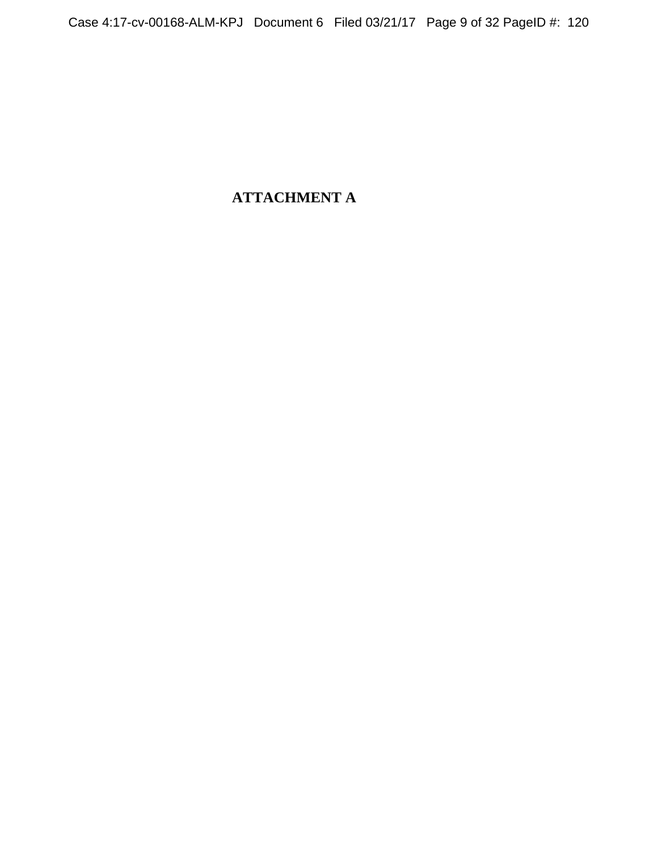# **ATTACHMENT A**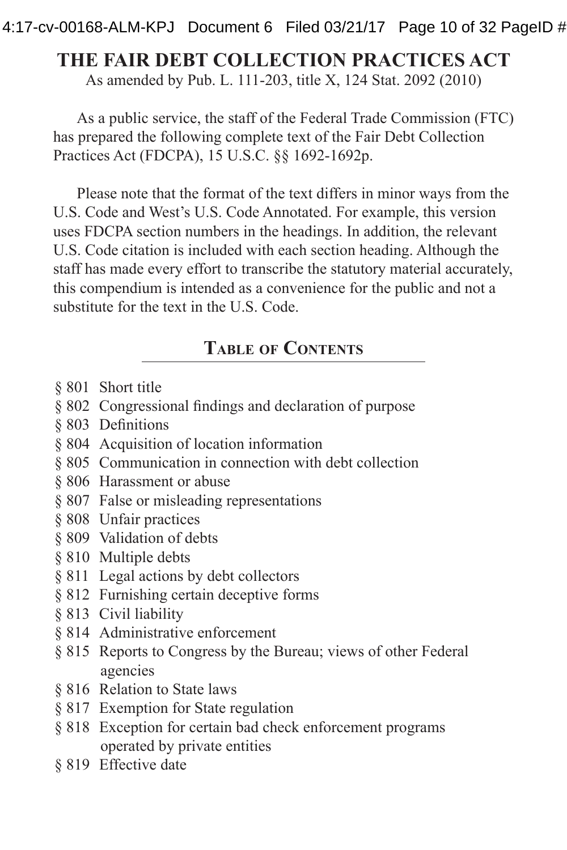### 4:17-cv-00168-ALM-KPJ Document 6 Filed 03/21/17 Page 10 of 32 PageID #

## **THE FAIR DEBT COLLECTION PRACTICES ACT**

As amended by Pub. L. 111-203, title X, 124 Stat. 2092 (2010)

As a public service, the staff of the Federal Trade Commission (FTC) has prepared the following complete text of the Fair Debt Collection Practices Act (FDCPA), 15 U.S.C. §§ 1692-1692p.

Please note that the format of the text differs in minor ways from the U.S. Code and West's U.S. Code Annotated. For example, this version uses FDCPA section numbers in the headings. In addition, the relevant U.S. Code citation is included with each section heading. Although the staff has made every effort to transcribe the statutory material accurately, this compendium is intended as a convenience for the public and not a substitute for the text in the U.S. Code.

# **Table of ConTenTs**

- § 801 Short title
- § 802 Congressional findings and declaration of purpose
- § 803 Definitions
- § 804 Acquisition of location information
- § 805 Communication in connection with debt collection
- § 806 Harassment or abuse
- § 807 False or misleading representations
- § 808 Unfair practices
- § 809 Validation of debts
- § 810 Multiple debts
- § 811 Legal actions by debt collectors
- § 812 Furnishing certain deceptive forms
- § 813 Civil liability
- § 814 Administrative enforcement
- § 815 Reports to Congress by the Bureau; views of other Federal agencies
- § 816 Relation to State laws
- § 817 Exemption for State regulation
- § 818 Exception for certain bad check enforcement programs operated by private entities
- § 819 Effective date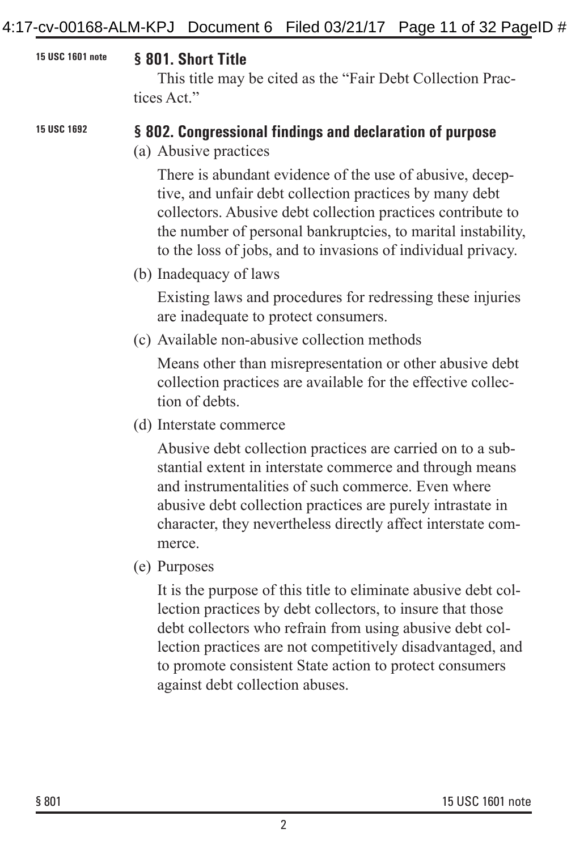#### **15 USC 1601 note § 801. Short Title**

This title may be cited as the "Fair Debt Collection Practices Act."

**15 USC 1692** 

### **§ 802. Congressional findings and declaration of purpose**

(a) Abusive practices

There is abundant evidence of the use of abusive, deceptive, and unfair debt collection practices by many debt collectors. Abusive debt collection practices contribute to the number of personal bankruptcies, to marital instability, to the loss of jobs, and to invasions of individual privacy.

(b) Inadequacy of laws

Existing laws and procedures for redressing these injuries are inadequate to protect consumers.

(c) Available non-abusive collection methods

Means other than misrepresentation or other abusive debt collection practices are available for the effective collection of debts.

(d) Interstate commerce

Abusive debt collection practices are carried on to a substantial extent in interstate commerce and through means and instrumentalities of such commerce. Even where abusive debt collection practices are purely intrastate in character, they nevertheless directly affect interstate commerce.

(e) Purposes

It is the purpose of this title to eliminate abusive debt collection practices by debt collectors, to insure that those debt collectors who refrain from using abusive debt collection practices are not competitively disadvantaged, and to promote consistent State action to protect consumers against debt collection abuses.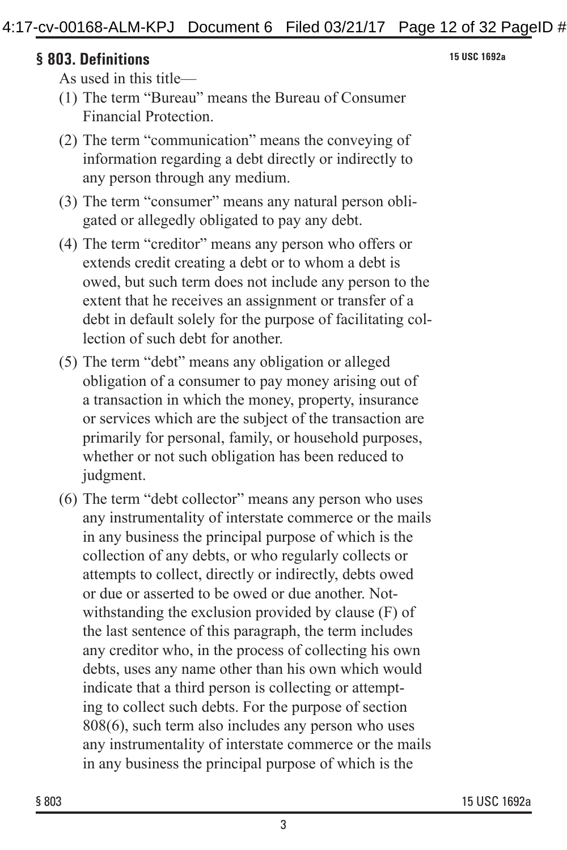### **§ 803. Definitions**

**15 USC 1692a** 

As used in this title—

- (1) The term "Bureau" means the Bureau of Consumer Financial Protection.
- (2) The term "communication" means the conveying of information regarding a debt directly or indirectly to any person through any medium.
- (3) The term "consumer" means any natural person obligated or allegedly obligated to pay any debt.
- (4) The term "creditor" means any person who offers or extends credit creating a debt or to whom a debt is owed, but such term does not include any person to the extent that he receives an assignment or transfer of a debt in default solely for the purpose of facilitating collection of such debt for another.
- (5) The term "debt" means any obligation or alleged obligation of a consumer to pay money arising out of a transaction in which the money, property, insurance or services which are the subject of the transaction are primarily for personal, family, or household purposes, whether or not such obligation has been reduced to judgment.
- (6) The term "debt collector" means any person who uses any instrumentality of interstate commerce or the mails in any business the principal purpose of which is the collection of any debts, or who regularly collects or attempts to collect, directly or indirectly, debts owed or due or asserted to be owed or due another. Notwithstanding the exclusion provided by clause (F) of the last sentence of this paragraph, the term includes any creditor who, in the process of collecting his own debts, uses any name other than his own which would indicate that a third person is collecting or attempting to collect such debts. For the purpose of section 808(6), such term also includes any person who uses any instrumentality of interstate commerce or the mails in any business the principal purpose of which is the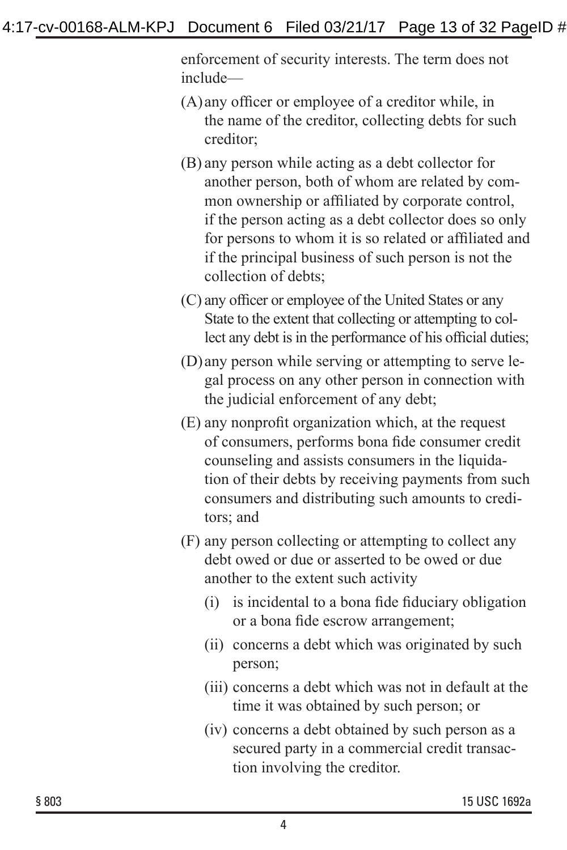enforcement of security interests. The term does not include—

- (A)any officer or employee of a creditor while, in the name of the creditor, collecting debts for such creditor;
- (B) any person while acting as a debt collector for another person, both of whom are related by common ownership or affiliated by corporate control, if the person acting as a debt collector does so only for persons to whom it is so related or affiliated and if the principal business of such person is not the collection of debts;
- (C) any officer or employee of the United States or any State to the extent that collecting or attempting to collect any debt is in the performance of his official duties;
- (D)any person while serving or attempting to serve legal process on any other person in connection with the judicial enforcement of any debt;
- (E) any nonprofit organization which, at the request of consumers, performs bona fide consumer credit counseling and assists consumers in the liquidation of their debts by receiving payments from such consumers and distributing such amounts to creditors; and
- (F) any person collecting or attempting to collect any debt owed or due or asserted to be owed or due another to the extent such activity
	- (i) is incidental to a bona fide fiduciary obligation or a bona fide escrow arrangement;
	- (ii) concerns a debt which was originated by such person;
	- (iii) concerns a debt which was not in default at the time it was obtained by such person; or
	- (iv) concerns a debt obtained by such person as a secured party in a commercial credit transaction involving the creditor.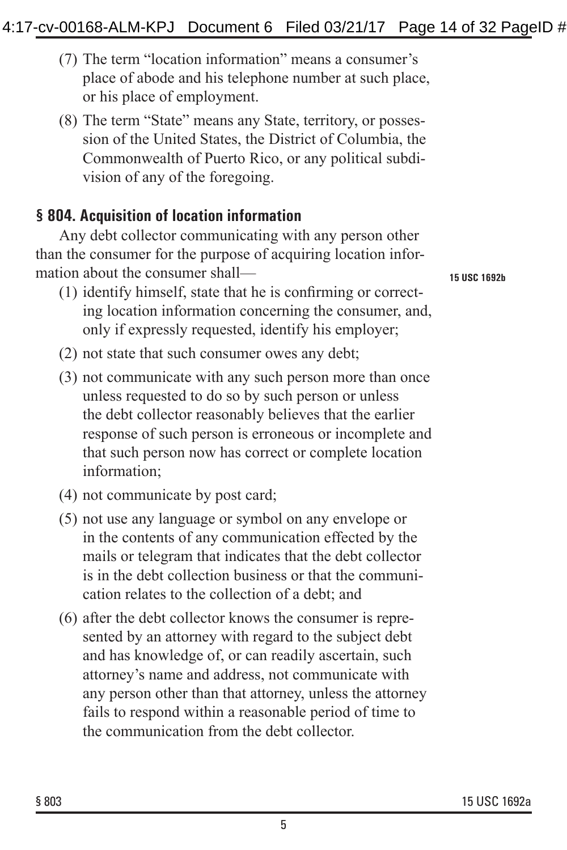- (7) The term "location information" means a consumer's place of abode and his telephone number at such place, or his place of employment.
- (8) The term "State" means any State, territory, or possession of the United States, the District of Columbia, the Commonwealth of Puerto Rico, or any political subdivision of any of the foregoing.

## **§ 804. Acquisition of location information**

Any debt collector communicating with any person other than the consumer for the purpose of acquiring location information about the consumer shall—

- (1) identify himself, state that he is confirming or correcting location information concerning the consumer, and, only if expressly requested, identify his employer;
- (2) not state that such consumer owes any debt;
- (3) not communicate with any such person more than once unless requested to do so by such person or unless the debt collector reasonably believes that the earlier response of such person is erroneous or incomplete and that such person now has correct or complete location information;
- (4) not communicate by post card;
- (5) not use any language or symbol on any envelope or in the contents of any communication effected by the mails or telegram that indicates that the debt collector is in the debt collection business or that the communication relates to the collection of a debt; and
- (6) after the debt collector knows the consumer is represented by an attorney with regard to the subject debt and has knowledge of, or can readily ascertain, such attorney's name and address, not communicate with any person other than that attorney, unless the attorney fails to respond within a reasonable period of time to the communication from the debt collector.

**15 USC 1692b**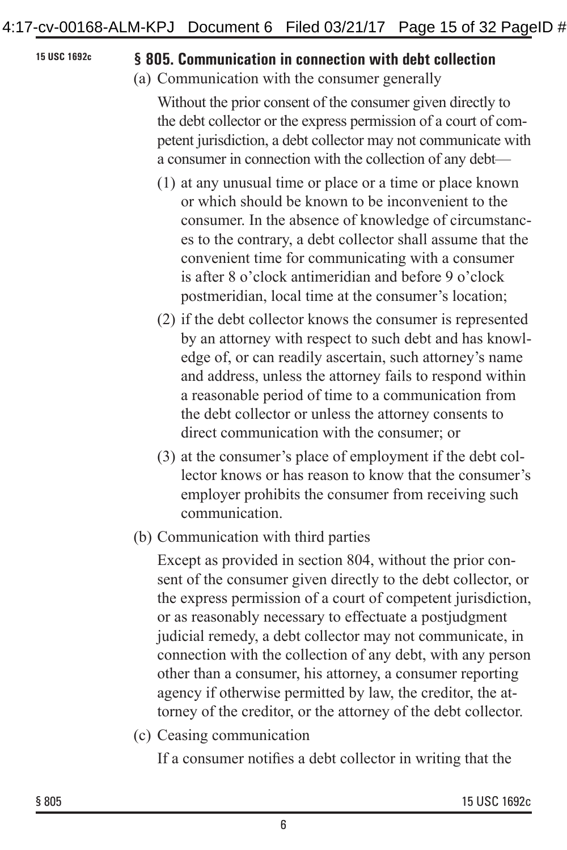#### **15 USC 1692c § 805. Communication in connection with debt collection**

(a) Communication with the consumer generally

Without the prior consent of the consumer given directly to the debt collector or the express permission of a court of competent jurisdiction, a debt collector may not communicate with a consumer in connection with the collection of any debt—

- (1) at any unusual time or place or a time or place known or which should be known to be inconvenient to the consumer. In the absence of knowledge of circumstances to the contrary, a debt collector shall assume that the convenient time for communicating with a consumer is after 8 o'clock antimeridian and before 9 o'clock postmeridian, local time at the consumer's location;
- (2) if the debt collector knows the consumer is represented by an attorney with respect to such debt and has knowledge of, or can readily ascertain, such attorney's name and address, unless the attorney fails to respond within a reasonable period of time to a communication from the debt collector or unless the attorney consents to direct communication with the consumer; or
- (3) at the consumer's place of employment if the debt collector knows or has reason to know that the consumer's employer prohibits the consumer from receiving such communication.
- (b) Communication with third parties

Except as provided in section 804, without the prior consent of the consumer given directly to the debt collector, or the express permission of a court of competent jurisdiction, or as reasonably necessary to effectuate a postjudgment judicial remedy, a debt collector may not communicate, in connection with the collection of any debt, with any person other than a consumer, his attorney, a consumer reporting agency if otherwise permitted by law, the creditor, the attorney of the creditor, or the attorney of the debt collector.

(c) Ceasing communication

If a consumer notifies a debt collector in writing that the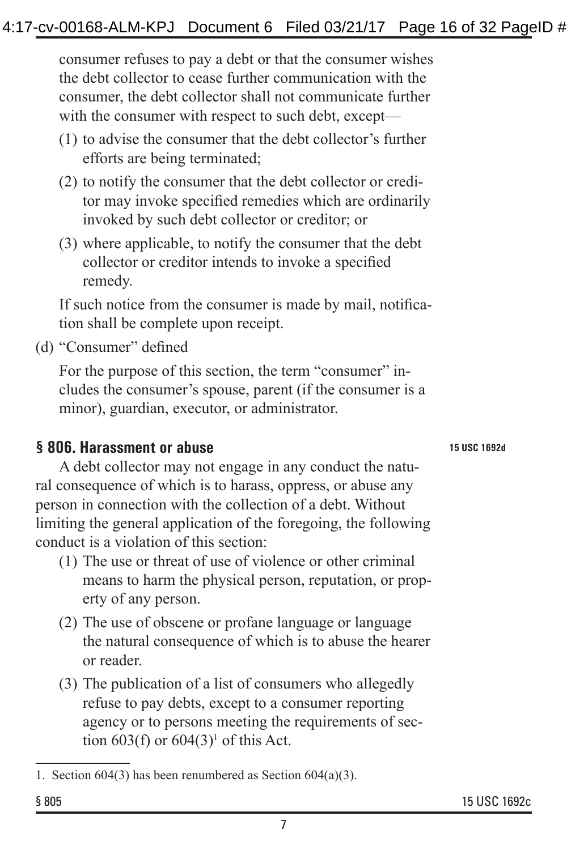consumer refuses to pay a debt or that the consumer wishes the debt collector to cease further communication with the consumer, the debt collector shall not communicate further with the consumer with respect to such debt, except—

- (1) to advise the consumer that the debt collector's further efforts are being terminated;
- (2) to notify the consumer that the debt collector or creditor may invoke specified remedies which are ordinarily invoked by such debt collector or creditor; or
- (3) where applicable, to notify the consumer that the debt collector or creditor intends to invoke a specified remedy.

If such notice from the consumer is made by mail, notification shall be complete upon receipt.

(d) "Consumer" defined

For the purpose of this section, the term "consumer" includes the consumer's spouse, parent (if the consumer is a minor), guardian, executor, or administrator.

### **§ 806. Harassment or abuse**

A debt collector may not engage in any conduct the natural consequence of which is to harass, oppress, or abuse any person in connection with the collection of a debt. Without limiting the general application of the foregoing, the following conduct is a violation of this section:

- (1) The use or threat of use of violence or other criminal means to harm the physical person, reputation, or property of any person.
- (2) The use of obscene or profane language or language the natural consequence of which is to abuse the hearer or reader.
- (3) The publication of a list of consumers who allegedly refuse to pay debts, except to a consumer reporting agency or to persons meeting the requirements of section  $603(f)$  or  $604(3)^1$  of this Act.

**15 USC 1692d** 

<sup>1.</sup> Section  $604(3)$  has been renumbered as Section  $604(a)(3)$ .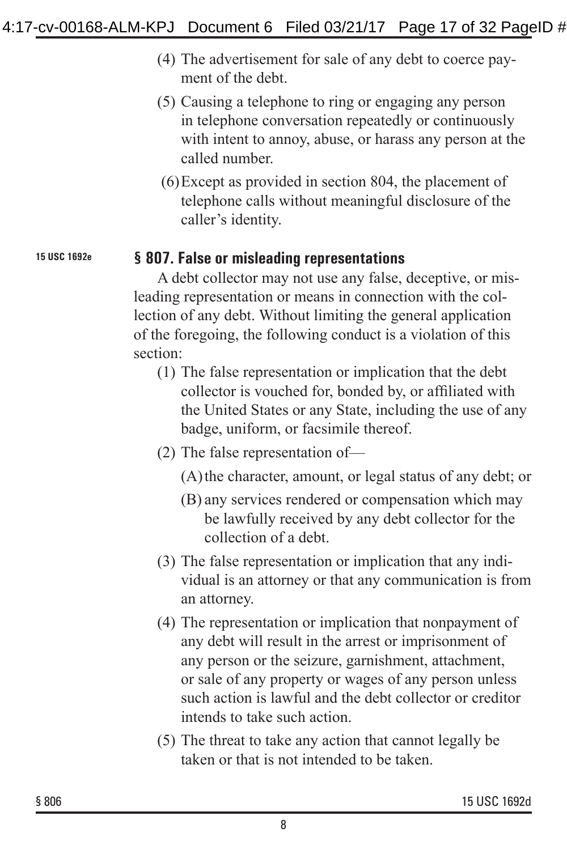- (4) The advertisement for sale of any debt to coerce payment of the debt.
- (5) Causing a telephone to ring or engaging any person in telephone conversation repeatedly or continuously with intent to annoy, abuse, or harass any person at the called number.
- (6)Except as provided in section 804, the placement of telephone calls without meaningful disclosure of the caller's identity.

### **15 USC 1692e**

### **§ 807. False or misleading representations**

A debt collector may not use any false, deceptive, or misleading representation or means in connection with the collection of any debt. Without limiting the general application of the foregoing, the following conduct is a violation of this section:

- (1) The false representation or implication that the debt collector is vouched for, bonded by, or affiliated with the United States or any State, including the use of any badge, uniform, or facsimile thereof.
- (2) The false representation of—
	- (A)the character, amount, or legal status of any debt; or
	- (B) any services rendered or compensation which may be lawfully received by any debt collector for the collection of a debt.
- (3) The false representation or implication that any individual is an attorney or that any communication is from an attorney.
- (4) The representation or implication that nonpayment of any debt will result in the arrest or imprisonment of any person or the seizure, garnishment, attachment, or sale of any property or wages of any person unless such action is lawful and the debt collector or creditor intends to take such action.
- (5) The threat to take any action that cannot legally be taken or that is not intended to be taken.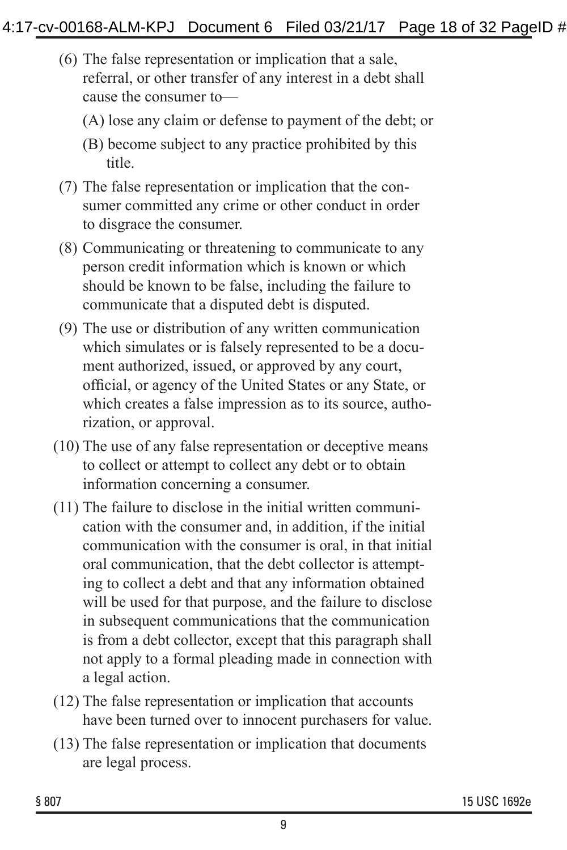- (6) The false representation or implication that a sale, referral, or other transfer of any interest in a debt shall cause the consumer to—
	- (A) lose any claim or defense to payment of the debt; or
	- (B) become subject to any practice prohibited by this title.
- (7) The false representation or implication that the consumer committed any crime or other conduct in order to disgrace the consumer.
- (8) Communicating or threatening to communicate to any person credit information which is known or which should be known to be false, including the failure to communicate that a disputed debt is disputed.
- (9) The use or distribution of any written communication which simulates or is falsely represented to be a document authorized, issued, or approved by any court, official, or agency of the United States or any State, or which creates a false impression as to its source, authorization, or approval.
- (10) The use of any false representation or deceptive means to collect or attempt to collect any debt or to obtain information concerning a consumer.
- (11) The failure to disclose in the initial written communication with the consumer and, in addition, if the initial communication with the consumer is oral, in that initial oral communication, that the debt collector is attempting to collect a debt and that any information obtained will be used for that purpose, and the failure to disclose in subsequent communications that the communication is from a debt collector, except that this paragraph shall not apply to a formal pleading made in connection with a legal action.
- (12) The false representation or implication that accounts have been turned over to innocent purchasers for value.
- (13) The false representation or implication that documents are legal process.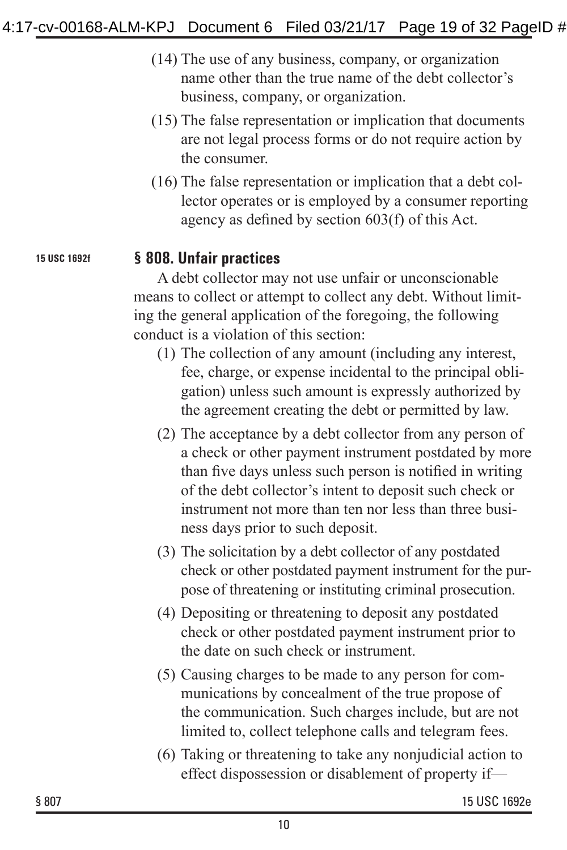- (14) The use of any business, company, or organization name other than the true name of the debt collector's business, company, or organization.
- (15) The false representation or implication that documents are not legal process forms or do not require action by the consumer.
- (16) The false representation or implication that a debt collector operates or is employed by a consumer reporting agency as defined by section 603(f) of this Act.

### **15 USC 1692f**

§ 807

**§ 808. Unfair practices** 

A debt collector may not use unfair or unconscionable means to collect or attempt to collect any debt. Without limiting the general application of the foregoing, the following conduct is a violation of this section:

- (1) The collection of any amount (including any interest, fee, charge, or expense incidental to the principal obligation) unless such amount is expressly authorized by the agreement creating the debt or permitted by law.
- (2) The acceptance by a debt collector from any person of a check or other payment instrument postdated by more than five days unless such person is notified in writing of the debt collector's intent to deposit such check or instrument not more than ten nor less than three business days prior to such deposit.
- (3) The solicitation by a debt collector of any postdated check or other postdated payment instrument for the purpose of threatening or instituting criminal prosecution.
- (4) Depositing or threatening to deposit any postdated check or other postdated payment instrument prior to the date on such check or instrument.
- (5) Causing charges to be made to any person for communications by concealment of the true propose of the communication. Such charges include, but are not limited to, collect telephone calls and telegram fees.
- (6) Taking or threatening to take any nonjudicial action to effect dispossession or disablement of property if—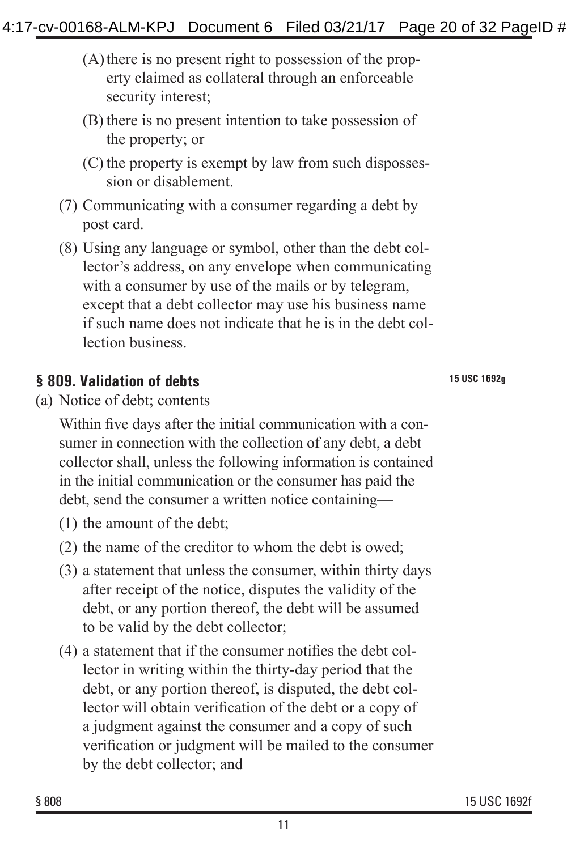- (A)there is no present right to possession of the property claimed as collateral through an enforceable security interest;
- (B) there is no present intention to take possession of the property; or
- (C) the property is exempt by law from such dispossession or disablement.
- (7) Communicating with a consumer regarding a debt by post card.
- (8) Using any language or symbol, other than the debt collector's address, on any envelope when communicating with a consumer by use of the mails or by telegram, except that a debt collector may use his business name if such name does not indicate that he is in the debt collection business.

## **§ 809. Validation of debts**

(a) Notice of debt; contents

Within five days after the initial communication with a consumer in connection with the collection of any debt, a debt collector shall, unless the following information is contained in the initial communication or the consumer has paid the debt, send the consumer a written notice containing—

- (1) the amount of the debt;
- (2) the name of the creditor to whom the debt is owed;
- (3) a statement that unless the consumer, within thirty days after receipt of the notice, disputes the validity of the debt, or any portion thereof, the debt will be assumed to be valid by the debt collector;
- (4) a statement that if the consumer notifies the debt collector in writing within the thirty-day period that the debt, or any portion thereof, is disputed, the debt collector will obtain verification of the debt or a copy of a judgment against the consumer and a copy of such verification or judgment will be mailed to the consumer by the debt collector; and

**15 USC 1692g**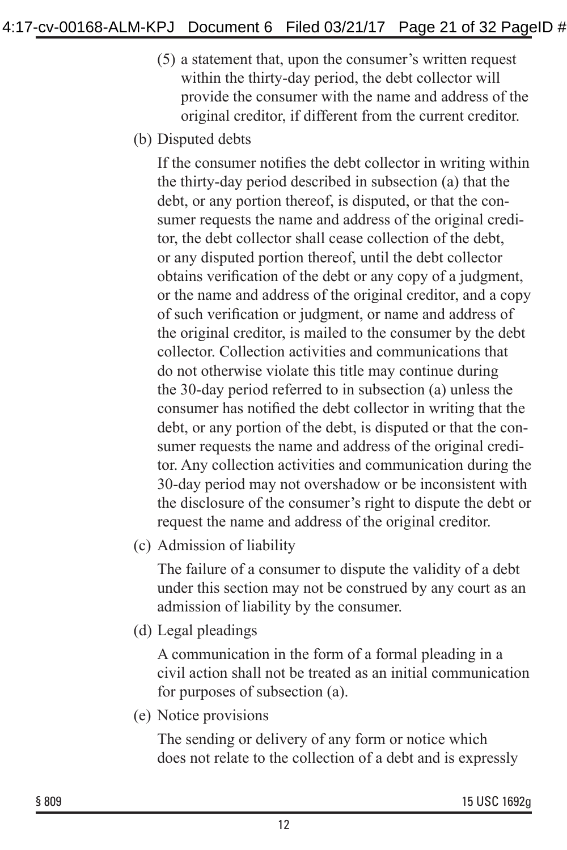- (5) a statement that, upon the consumer's written request within the thirty-day period, the debt collector will provide the consumer with the name and address of the original creditor, if different from the current creditor.
- (b) Disputed debts

If the consumer notifies the debt collector in writing within the thirty-day period described in subsection (a) that the debt, or any portion thereof, is disputed, or that the consumer requests the name and address of the original creditor, the debt collector shall cease collection of the debt, or any disputed portion thereof, until the debt collector obtains verification of the debt or any copy of a judgment, or the name and address of the original creditor, and a copy of such verification or judgment, or name and address of the original creditor, is mailed to the consumer by the debt collector. Collection activities and communications that do not otherwise violate this title may continue during the 30-day period referred to in subsection (a) unless the consumer has notified the debt collector in writing that the debt, or any portion of the debt, is disputed or that the consumer requests the name and address of the original creditor. Any collection activities and communication during the 30-day period may not overshadow or be inconsistent with the disclosure of the consumer's right to dispute the debt or request the name and address of the original creditor.

(c) Admission of liability

The failure of a consumer to dispute the validity of a debt under this section may not be construed by any court as an admission of liability by the consumer.

(d) Legal pleadings

A communication in the form of a formal pleading in a civil action shall not be treated as an initial communication for purposes of subsection (a).

(e) Notice provisions

The sending or delivery of any form or notice which does not relate to the collection of a debt and is expressly

12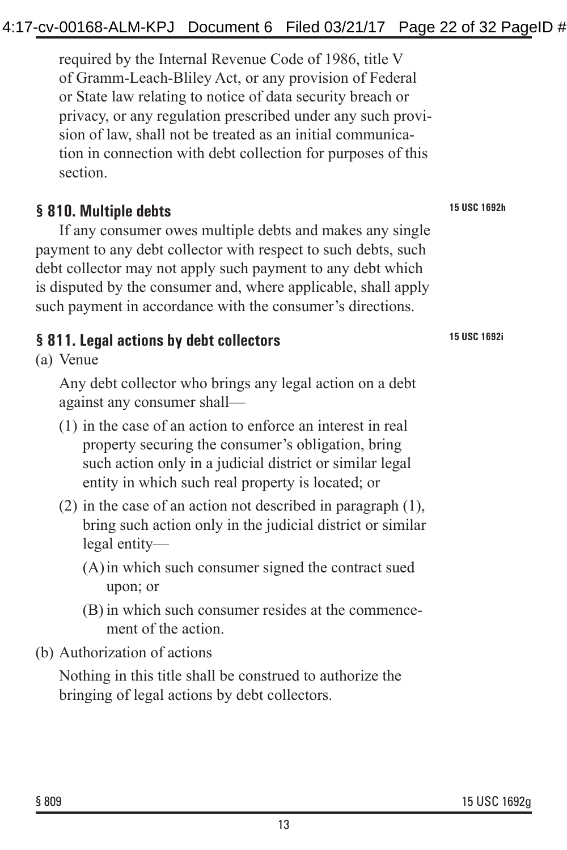required by the Internal Revenue Code of 1986, title V of Gramm-Leach-Bliley Act, or any provision of Federal or State law relating to notice of data security breach or privacy, or any regulation prescribed under any such provision of law, shall not be treated as an initial communication in connection with debt collection for purposes of this section.

### **§ 810. Multiple debts**

If any consumer owes multiple debts and makes any single payment to any debt collector with respect to such debts, such debt collector may not apply such payment to any debt which is disputed by the consumer and, where applicable, shall apply such payment in accordance with the consumer's directions.

### **§ 811. Legal actions by debt collectors**

**15 USC 1692h** 

**15 USC 1692i** 

### (a) Venue

Any debt collector who brings any legal action on a debt against any consumer shall—

- (1) in the case of an action to enforce an interest in real property securing the consumer's obligation, bring such action only in a judicial district or similar legal entity in which such real property is located; or
- (2) in the case of an action not described in paragraph (1), bring such action only in the judicial district or similar legal entity—
	- (A)in which such consumer signed the contract sued upon; or
	- (B) in which such consumer resides at the commencement of the action.

### (b) Authorization of actions

Nothing in this title shall be construed to authorize the bringing of legal actions by debt collectors.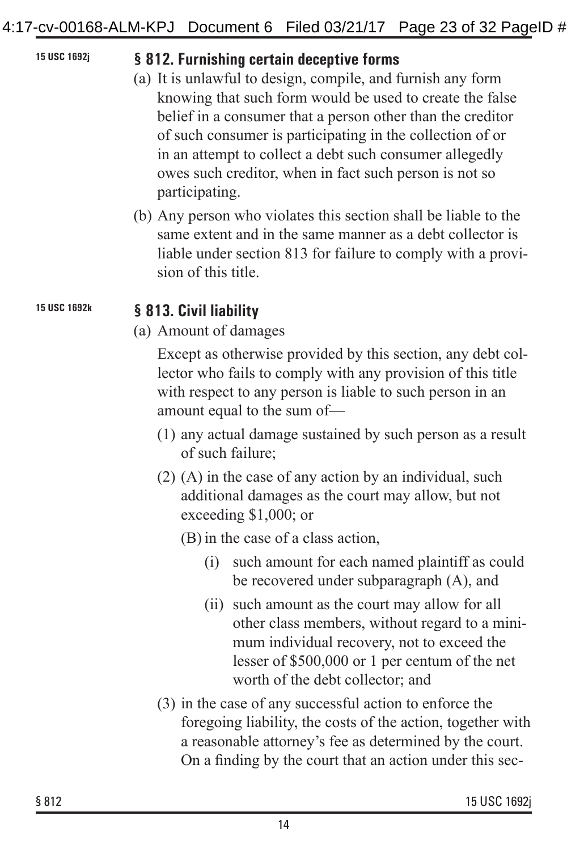**15 USC 1692j** 

### **§ 812. Furnishing certain deceptive forms**

- (a) It is unlawful to design, compile, and furnish any form knowing that such form would be used to create the false belief in a consumer that a person other than the creditor of such consumer is participating in the collection of or in an attempt to collect a debt such consumer allegedly owes such creditor, when in fact such person is not so participating.
- (b) Any person who violates this section shall be liable to the same extent and in the same manner as a debt collector is liable under section 813 for failure to comply with a provision of this title.

#### **15 USC 1692k § 813. Civil liability**

(a) Amount of damages

Except as otherwise provided by this section, any debt collector who fails to comply with any provision of this title with respect to any person is liable to such person in an amount equal to the sum of—

- (1) any actual damage sustained by such person as a result of such failure;
- (2) (A) in the case of any action by an individual, such additional damages as the court may allow, but not exceeding \$1,000; or
	- (B) in the case of a class action,
		- (i) such amount for each named plaintiff as could be recovered under subparagraph (A), and
		- (ii) such amount as the court may allow for all other class members, without regard to a minimum individual recovery, not to exceed the lesser of \$500,000 or 1 per centum of the net worth of the debt collector; and
- (3) in the case of any successful action to enforce the foregoing liability, the costs of the action, together with a reasonable attorney's fee as determined by the court. On a finding by the court that an action under this sec-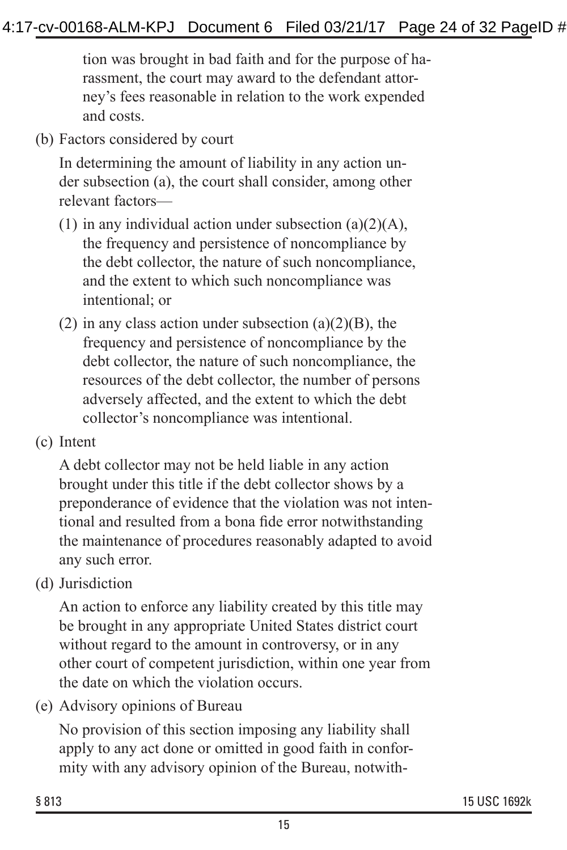tion was brought in bad faith and for the purpose of harassment, the court may award to the defendant attorney's fees reasonable in relation to the work expended and costs.

(b) Factors considered by court

In determining the amount of liability in any action under subsection (a), the court shall consider, among other relevant factors—

- (1) in any individual action under subsection (a)(2)(A), the frequency and persistence of noncompliance by the debt collector, the nature of such noncompliance, and the extent to which such noncompliance was intentional; or
- (2) in any class action under subsection (a) $(2)(B)$ , the frequency and persistence of noncompliance by the debt collector, the nature of such noncompliance, the resources of the debt collector, the number of persons adversely affected, and the extent to which the debt collector's noncompliance was intentional.
- (c) Intent

A debt collector may not be held liable in any action brought under this title if the debt collector shows by a preponderance of evidence that the violation was not intentional and resulted from a bona fide error notwithstanding the maintenance of procedures reasonably adapted to avoid any such error.

(d) Jurisdiction

An action to enforce any liability created by this title may be brought in any appropriate United States district court without regard to the amount in controversy, or in any other court of competent jurisdiction, within one year from the date on which the violation occurs.

(e) Advisory opinions of Bureau

No provision of this section imposing any liability shall apply to any act done or omitted in good faith in conformity with any advisory opinion of the Bureau, notwith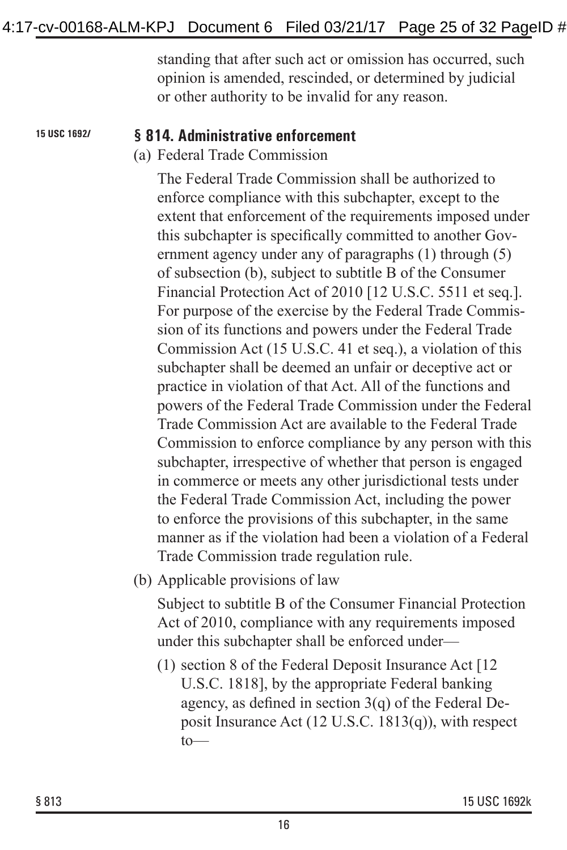standing that after such act or omission has occurred, such opinion is amended, rescinded, or determined by judicial or other authority to be invalid for any reason.

**15 USC 1692***l*

### **§ 814. Administrative enforcement**

(a) Federal Trade Commission

The Federal Trade Commission shall be authorized to enforce compliance with this subchapter, except to the extent that enforcement of the requirements imposed under this subchapter is specifically committed to another Government agency under any of paragraphs (1) through (5) of subsection (b), subject to subtitle B of the Consumer Financial Protection Act of 2010 [12 U.S.C. 5511 et seq.]. For purpose of the exercise by the Federal Trade Commission of its functions and powers under the Federal Trade Commission Act (15 U.S.C. 41 et seq.), a violation of this subchapter shall be deemed an unfair or deceptive act or practice in violation of that Act. All of the functions and powers of the Federal Trade Commission under the Federal Trade Commission Act are available to the Federal Trade Commission to enforce compliance by any person with this subchapter, irrespective of whether that person is engaged in commerce or meets any other jurisdictional tests under the Federal Trade Commission Act, including the power to enforce the provisions of this subchapter, in the same manner as if the violation had been a violation of a Federal Trade Commission trade regulation rule.

(b) Applicable provisions of law

Subject to subtitle B of the Consumer Financial Protection Act of 2010, compliance with any requirements imposed under this subchapter shall be enforced under—

(1) section 8 of the Federal Deposit Insurance Act [12 U.S.C. 1818], by the appropriate Federal banking agency, as defined in section 3(q) of the Federal Deposit Insurance Act (12 U.S.C. 1813(q)), with respect  $to$ —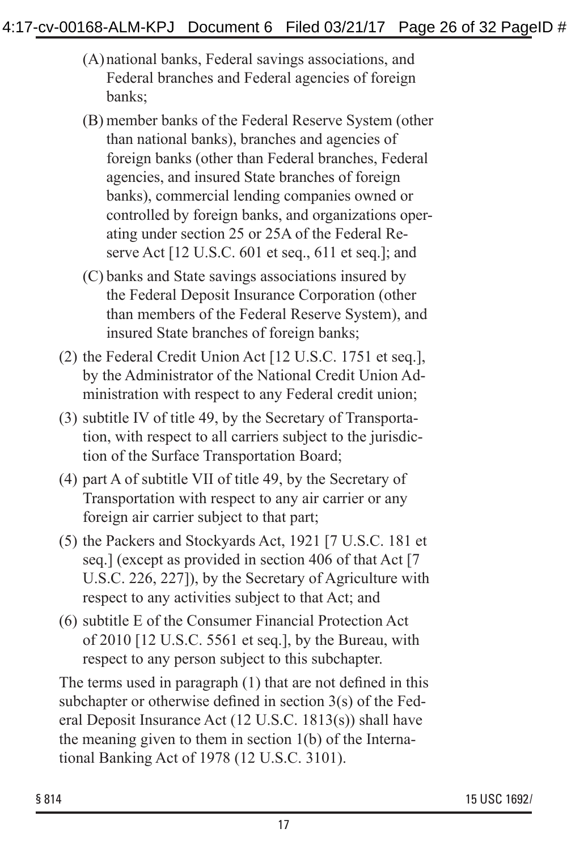- (A)national banks, Federal savings associations, and Federal branches and Federal agencies of foreign banks;
- (B) member banks of the Federal Reserve System (other than national banks), branches and agencies of foreign banks (other than Federal branches, Federal agencies, and insured State branches of foreign banks), commercial lending companies owned or controlled by foreign banks, and organizations operating under section 25 or 25A of the Federal Reserve Act [12 U.S.C. 601 et seq., 611 et seq.]; and
- (C) banks and State savings associations insured by the Federal Deposit Insurance Corporation (other than members of the Federal Reserve System), and insured State branches of foreign banks;
- (2) the Federal Credit Union Act [12 U.S.C. 1751 et seq.], by the Administrator of the National Credit Union Administration with respect to any Federal credit union;
- (3) subtitle IV of title 49, by the Secretary of Transportation, with respect to all carriers subject to the jurisdiction of the Surface Transportation Board;
- (4) part A of subtitle VII of title 49, by the Secretary of Transportation with respect to any air carrier or any foreign air carrier subject to that part;
- (5) the Packers and Stockyards Act, 1921 [7 U.S.C. 181 et seq.] (except as provided in section 406 of that Act [7 U.S.C. 226, 227]), by the Secretary of Agriculture with respect to any activities subject to that Act; and
- (6) subtitle E of the Consumer Financial Protection Act of 2010 [12 U.S.C. 5561 et seq.], by the Bureau, with respect to any person subject to this subchapter.

The terms used in paragraph (1) that are not defined in this subchapter or otherwise defined in section  $3(s)$  of the Federal Deposit Insurance Act (12 U.S.C. 1813(s)) shall have the meaning given to them in section 1(b) of the International Banking Act of 1978 (12 U.S.C. 3101).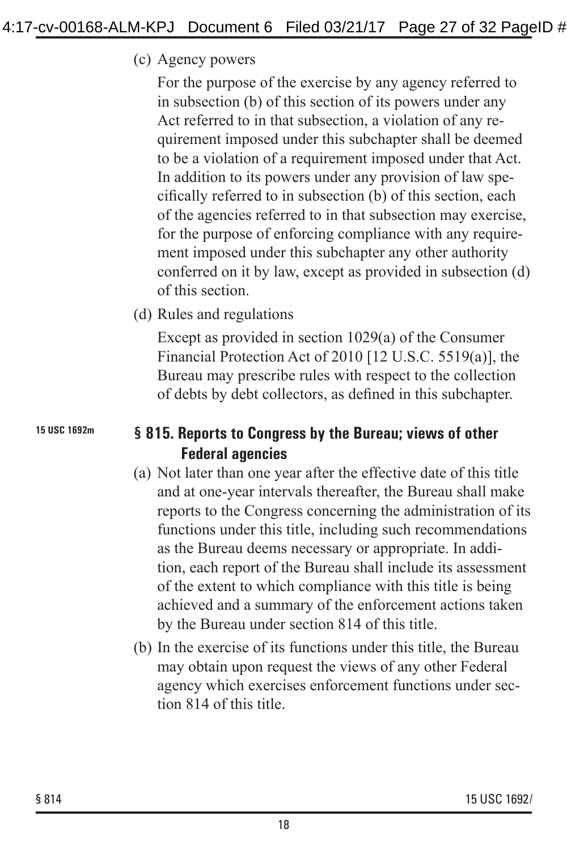## (c) Agency powers

For the purpose of the exercise by any agency referred to in subsection (b) of this section of its powers under any Act referred to in that subsection, a violation of any requirement imposed under this subchapter shall be deemed to be a violation of a requirement imposed under that Act. In addition to its powers under any provision of law specifically referred to in subsection (b) of this section, each of the agencies referred to in that subsection may exercise, for the purpose of enforcing compliance with any requirement imposed under this subchapter any other authority conferred on it by law, except as provided in subsection (d) of this section.

(d) Rules and regulations

Except as provided in section 1029(a) of the Consumer Financial Protection Act of 2010 [12 U.S.C. 5519(a)], the Bureau may prescribe rules with respect to the collection of debts by debt collectors, as defined in this subchapter.

**15 USC 1692m** 

## **§ 815. Reports to Congress by the Bureau; views of other Federal agencies**

- (a) Not later than one year after the effective date of this title and at one-year intervals thereafter, the Bureau shall make reports to the Congress concerning the administration of its functions under this title, including such recommendations as the Bureau deems necessary or appropriate. In addition, each report of the Bureau shall include its assessment of the extent to which compliance with this title is being achieved and a summary of the enforcement actions taken by the Bureau under section 814 of this title.
- (b) In the exercise of its functions under this title, the Bureau may obtain upon request the views of any other Federal agency which exercises enforcement functions under section 814 of this title.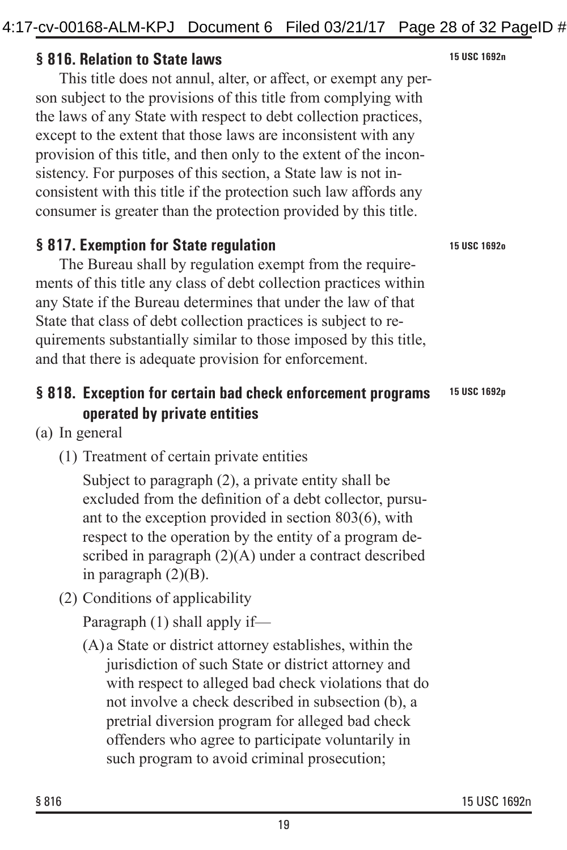### **§ 816. Relation to State laws**

This title does not annul, alter, or affect, or exempt any person subject to the provisions of this title from complying with the laws of any State with respect to debt collection practices, except to the extent that those laws are inconsistent with any provision of this title, and then only to the extent of the inconsistency. For purposes of this section, a State law is not inconsistent with this title if the protection such law affords any consumer is greater than the protection provided by this title.

### **§ 817. Exemption for State regulation**

The Bureau shall by regulation exempt from the requirements of this title any class of debt collection practices within any State if the Bureau determines that under the law of that State that class of debt collection practices is subject to requirements substantially similar to those imposed by this title, and that there is adequate provision for enforcement.

### **§ 818. Exception for certain bad check enforcement programs operated by private entities 15 USC 1692p**

### (a) In general

(1) Treatment of certain private entities

Subject to paragraph (2), a private entity shall be excluded from the definition of a debt collector, pursuant to the exception provided in section 803(6), with respect to the operation by the entity of a program described in paragraph (2)(A) under a contract described in paragraph  $(2)(B)$ .

(2) Conditions of applicability

Paragraph (1) shall apply if—

(A)a State or district attorney establishes, within the jurisdiction of such State or district attorney and with respect to alleged bad check violations that do not involve a check described in subsection (b), a pretrial diversion program for alleged bad check offenders who agree to participate voluntarily in such program to avoid criminal prosecution;

**15 USC 1692o** 

**15 USC 1692n**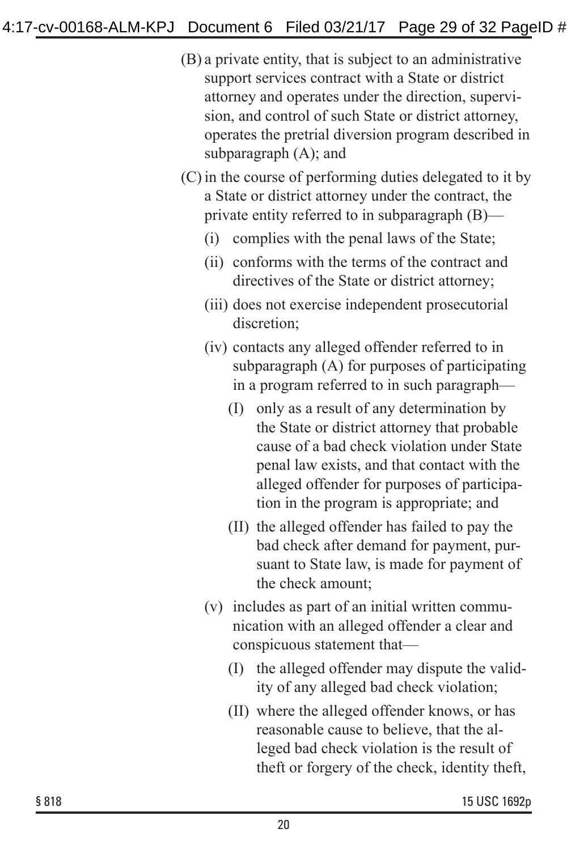### 4:17-cv-00168-ALM-KPJ Document 6 Filed 03/21/17 Page 29 of 32 PageID #

- (B) a private entity, that is subject to an administrative support services contract with a State or district attorney and operates under the direction, supervision, and control of such State or district attorney, operates the pretrial diversion program described in subparagraph (A); and
- (C) in the course of performing duties delegated to it by a State or district attorney under the contract, the private entity referred to in subparagraph (B)—
	- (i) complies with the penal laws of the State;
	- (ii) conforms with the terms of the contract and directives of the State or district attorney;
	- (iii) does not exercise independent prosecutorial discretion;
	- (iv) contacts any alleged offender referred to in subparagraph (A) for purposes of participating in a program referred to in such paragraph—
		- (I) only as a result of any determination by the State or district attorney that probable cause of a bad check violation under State penal law exists, and that contact with the alleged offender for purposes of participation in the program is appropriate; and
		- (II) the alleged offender has failed to pay the bad check after demand for payment, pursuant to State law, is made for payment of the check amount;
	- (v) includes as part of an initial written communication with an alleged offender a clear and conspicuous statement that—
		- (I) the alleged offender may dispute the validity of any alleged bad check violation;
		- (II) where the alleged offender knows, or has reasonable cause to believe, that the alleged bad check violation is the result of theft or forgery of the check, identity theft,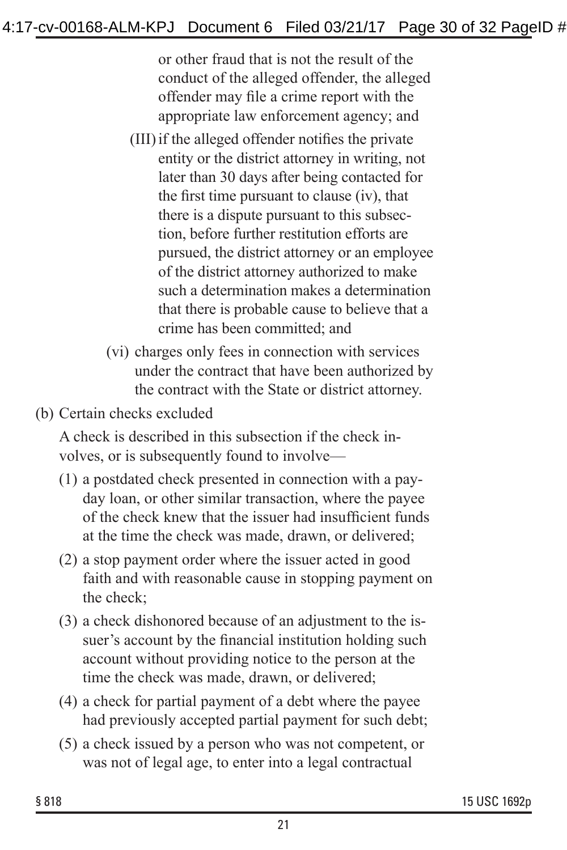or other fraud that is not the result of the conduct of the alleged offender, the alleged offender may file a crime report with the appropriate law enforcement agency; and

- (III) if the alleged offender notifies the private entity or the district attorney in writing, not later than 30 days after being contacted for the first time pursuant to clause (iv), that there is a dispute pursuant to this subsection, before further restitution efforts are pursued, the district attorney or an employee of the district attorney authorized to make such a determination makes a determination that there is probable cause to believe that a crime has been committed; and
- (vi) charges only fees in connection with services under the contract that have been authorized by the contract with the State or district attorney.
- (b) Certain checks excluded

A check is described in this subsection if the check involves, or is subsequently found to involve—

- (1) a postdated check presented in connection with a payday loan, or other similar transaction, where the payee of the check knew that the issuer had insufficient funds at the time the check was made, drawn, or delivered;
- (2) a stop payment order where the issuer acted in good faith and with reasonable cause in stopping payment on the check;
- (3) a check dishonored because of an adjustment to the issuer's account by the financial institution holding such account without providing notice to the person at the time the check was made, drawn, or delivered;
- (4) a check for partial payment of a debt where the payee had previously accepted partial payment for such debt;
- (5) a check issued by a person who was not competent, or was not of legal age, to enter into a legal contractual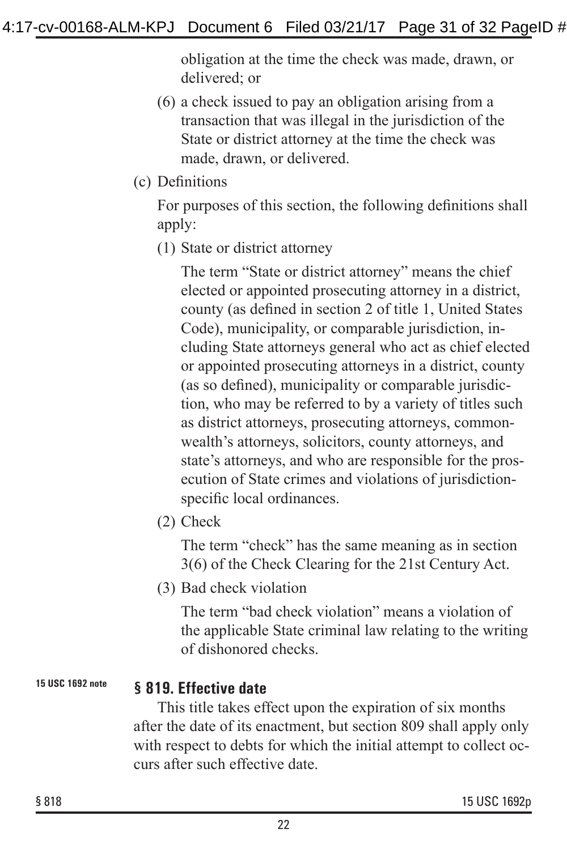obligation at the time the check was made, drawn, or delivered; or

- (6) a check issued to pay an obligation arising from a transaction that was illegal in the jurisdiction of the State or district attorney at the time the check was made, drawn, or delivered.
- (c) Definitions

For purposes of this section, the following definitions shall apply:

(1) State or district attorney

The term "State or district attorney" means the chief elected or appointed prosecuting attorney in a district, county (as defined in section 2 of title 1, United States Code), municipality, or comparable jurisdiction, including State attorneys general who act as chief elected or appointed prosecuting attorneys in a district, county (as so defined), municipality or comparable jurisdiction, who may be referred to by a variety of titles such as district attorneys, prosecuting attorneys, commonwealth's attorneys, solicitors, county attorneys, and state's attorneys, and who are responsible for the prosecution of State crimes and violations of jurisdictionspecific local ordinances.

(2) Check

The term "check" has the same meaning as in section 3(6) of the Check Clearing for the 21st Century Act.

(3) Bad check violation

The term "bad check violation" means a violation of the applicable State criminal law relating to the writing of dishonored checks.

#### **15 USC 1692 note § 819. Effective date**

This title takes effect upon the expiration of six months after the date of its enactment, but section 809 shall apply only with respect to debts for which the initial attempt to collect occurs after such effective date.